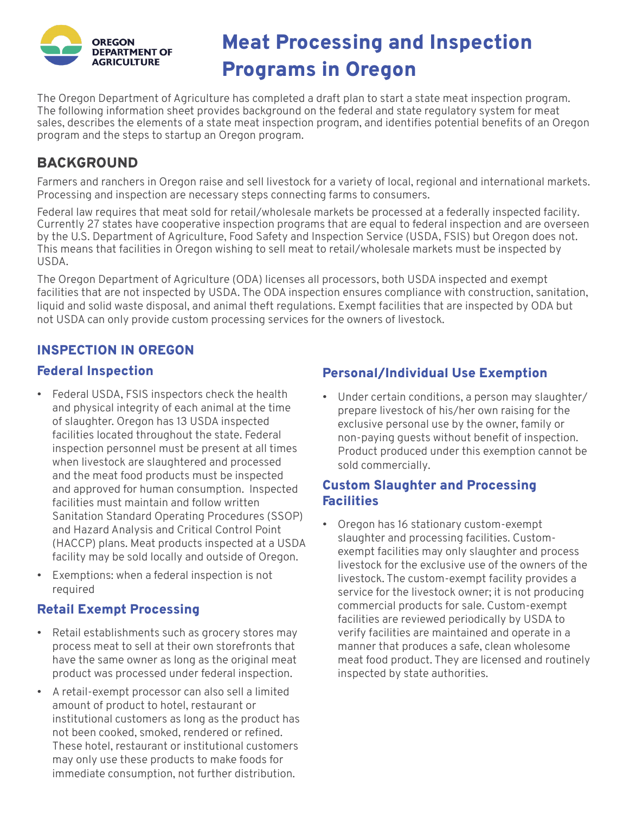

# OREGON Meat Processing and Inspection AGRICULTURE **Programs in Oregon**

The Oregon Department of Agriculture has completed a draft plan to start a state meat inspection program. The following information sheet provides background on the federal and state regulatory system for meat sales, describes the elements of a state meat inspection program, and identifies potential benefits of an Oregon program and the steps to startup an Oregon program.

## BACKGROUND

Farmers and ranchers in Oregon raise and sell livestock for a variety of local, regional and international markets. Processing and inspection are necessary steps connecting farms to consumers.

Federal law requires that meat sold for retail/wholesale markets be processed at a federally inspected facility. Currently 27 states have cooperative inspection programs that are equal to federal inspection and are overseen by the U.S. Department of Agriculture, Food Safety and Inspection Service (USDA, FSIS) but Oregon does not. This means that facilities in Oregon wishing to sell meat to retail/wholesale markets must be inspected by USDA.

The Oregon Department of Agriculture (ODA) licenses all processors, both USDA inspected and exempt facilities that are not inspected by USDA. The ODA inspection ensures compliance with construction, sanitation, liquid and solid waste disposal, and animal theft regulations. Exempt facilities that are inspected by ODA but not USDA can only provide custom processing services for the owners of livestock.

### INSPECTION IN OREGON

#### Federal Inspection

- Federal USDA, FSIS inspectors check the health and physical integrity of each animal at the time of slaughter. Oregon has 13 USDA inspected facilities located throughout the state. Federal inspection personnel must be present at all times when livestock are slaughtered and processed and the meat food products must be inspected and approved for human consumption. Inspected facilities must maintain and follow written Sanitation Standard Operating Procedures (SSOP) and Hazard Analysis and Critical Control Point (HACCP) plans. Meat products inspected at a USDA facility may be sold locally and outside of Oregon.
- Exemptions: when a federal inspection is not required

### Retail Exempt Processing

- Retail establishments such as grocery stores may process meat to sell at their own storefronts that have the same owner as long as the original meat product was processed under federal inspection.
- A retail-exempt processor can also sell a limited amount of product to hotel, restaurant or institutional customers as long as the product has not been cooked, smoked, rendered or refined. These hotel, restaurant or institutional customers may only use these products to make foods for immediate consumption, not further distribution.

## Personal/Individual Use Exemption

• Under certain conditions, a person may slaughter/ prepare livestock of his/her own raising for the exclusive personal use by the owner, family or non-paying guests without benefit of inspection. Product produced under this exemption cannot be sold commercially.

#### Custom Slaughter and Processing **Facilities**

• Oregon has 16 stationary custom-exempt slaughter and processing facilities. Customexempt facilities may only slaughter and process livestock for the exclusive use of the owners of the livestock. The custom-exempt facility provides a service for the livestock owner; it is not producing commercial products for sale. Custom-exempt facilities are reviewed periodically by USDA to verify facilities are maintained and operate in a manner that produces a safe, clean wholesome meat food product. They are licensed and routinely inspected by state authorities.